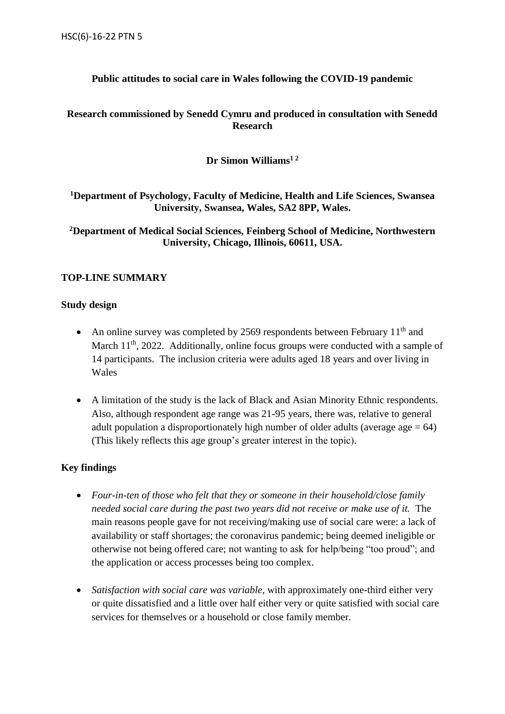# **Public attitudes to social care in Wales following the COVID-19 pandemic**

# **Research commissioned by Senedd Cymru and produced in consultation with Senedd Research**

# **Dr Simon Williams1 2**

**<sup>1</sup>Department of Psychology, Faculty of Medicine, Health and Life Sciences, Swansea University, Swansea, Wales, SA2 8PP, Wales.**

**<sup>2</sup>Department of Medical Social Sciences, Feinberg School of Medicine, Northwestern University, Chicago, Illinois, 60611, USA.**

### **TOP-LINE SUMMARY**

### **Study design**

- An online survey was completed by 2569 respondents between February  $11<sup>th</sup>$  and March  $11<sup>th</sup>$ , 2022. Additionally, online focus groups were conducted with a sample of 14 participants. The inclusion criteria were adults aged 18 years and over living in Wales
- A limitation of the study is the lack of Black and Asian Minority Ethnic respondents. Also, although respondent age range was 21-95 years, there was, relative to general adult population a disproportionately high number of older adults (average  $age = 64$ ) (This likely reflects this age group's greater interest in the topic).

# **Key findings**

- *Four-in-ten of those who felt that they or someone in their household/close family needed social care during the past two years did not receive or make use of it.* The main reasons people gave for not receiving/making use of social care were: a lack of availability or staff shortages; the coronavirus pandemic; being deemed ineligible or otherwise not being offered care; not wanting to ask for help/being "too proud"; and the application or access processes being too complex.
- *Satisfaction with social care was variable,* with approximately one-third either very or quite dissatisfied and a little over half either very or quite satisfied with social care services for themselves or a household or close family member.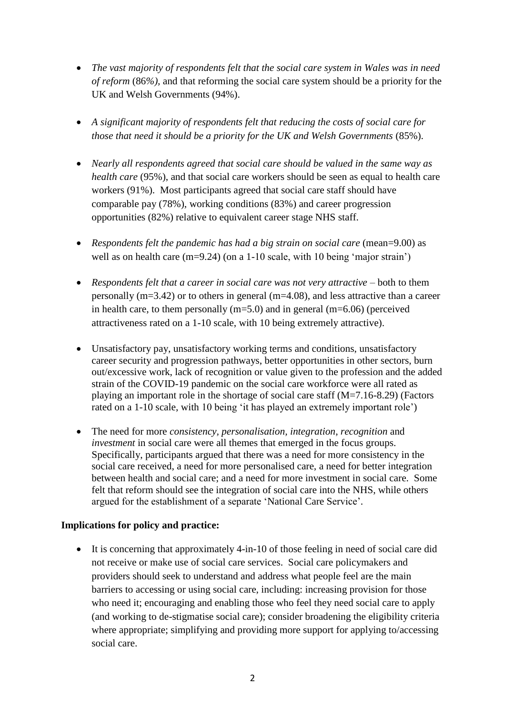- *The vast majority of respondents felt that the social care system in Wales was in need of reform* (86*%),* and that reforming the social care system should be a priority for the UK and Welsh Governments (94%).
- *A significant majority of respondents felt that reducing the costs of social care for those that need it should be a priority for the UK and Welsh Governments* (85%).
- *Nearly all respondents agreed that social care should be valued in the same way as health care* (95%), and that social care workers should be seen as equal to health care workers (91%). Most participants agreed that social care staff should have comparable pay (78%), working conditions (83%) and career progression opportunities (82%) relative to equivalent career stage NHS staff.
- *Respondents felt the pandemic has had a big strain on social care* (mean=9.00) as well as on health care (m=9.24) (on a 1-10 scale, with 10 being 'major strain')
- *Respondents felt that a career in social care was not very attractive* both to them personally (m=3.42) or to others in general (m=4.08), and less attractive than a career in health care, to them personally  $(m=5.0)$  and in general  $(m=6.06)$  (perceived attractiveness rated on a 1-10 scale, with 10 being extremely attractive).
- Unsatisfactory pay, unsatisfactory working terms and conditions, unsatisfactory career security and progression pathways, better opportunities in other sectors, burn out/excessive work, lack of recognition or value given to the profession and the added strain of the COVID-19 pandemic on the social care workforce were all rated as playing an important role in the shortage of social care staff (M=7.16-8.29) (Factors rated on a 1-10 scale, with 10 being 'it has played an extremely important role')
- The need for more *consistency, personalisation, integration*, *recognition* and *investment* in social care were all themes that emerged in the focus groups. Specifically, participants argued that there was a need for more consistency in the social care received, a need for more personalised care, a need for better integration between health and social care; and a need for more investment in social care. Some felt that reform should see the integration of social care into the NHS, while others argued for the establishment of a separate 'National Care Service'.

# **Implications for policy and practice:**

 It is concerning that approximately 4-in-10 of those feeling in need of social care did not receive or make use of social care services. Social care policymakers and providers should seek to understand and address what people feel are the main barriers to accessing or using social care, including: increasing provision for those who need it; encouraging and enabling those who feel they need social care to apply (and working to de-stigmatise social care); consider broadening the eligibility criteria where appropriate; simplifying and providing more support for applying to/accessing social care.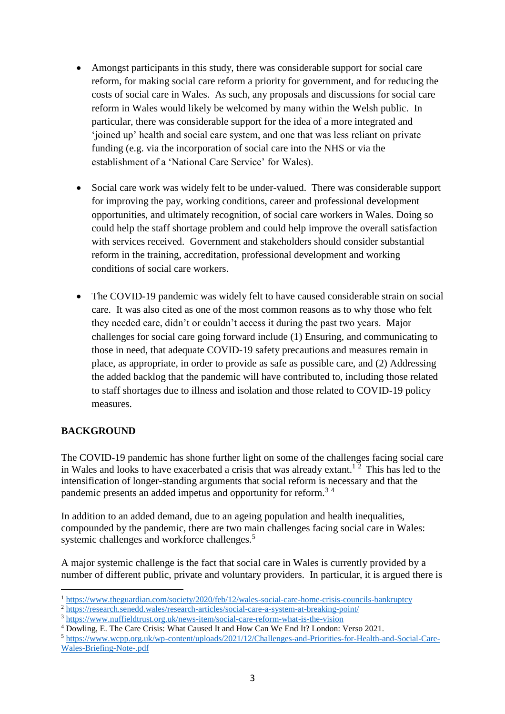- Amongst participants in this study, there was considerable support for social care reform, for making social care reform a priority for government, and for reducing the costs of social care in Wales. As such, any proposals and discussions for social care reform in Wales would likely be welcomed by many within the Welsh public. In particular, there was considerable support for the idea of a more integrated and 'joined up' health and social care system, and one that was less reliant on private funding (e.g. via the incorporation of social care into the NHS or via the establishment of a 'National Care Service' for Wales).
- Social care work was widely felt to be under-valued. There was considerable support for improving the pay, working conditions, career and professional development opportunities, and ultimately recognition, of social care workers in Wales. Doing so could help the staff shortage problem and could help improve the overall satisfaction with services received. Government and stakeholders should consider substantial reform in the training, accreditation, professional development and working conditions of social care workers.
- The COVID-19 pandemic was widely felt to have caused considerable strain on social care. It was also cited as one of the most common reasons as to why those who felt they needed care, didn't or couldn't access it during the past two years. Major challenges for social care going forward include (1) Ensuring, and communicating to those in need, that adequate COVID-19 safety precautions and measures remain in place, as appropriate, in order to provide as safe as possible care, and (2) Addressing the added backlog that the pandemic will have contributed to, including those related to staff shortages due to illness and isolation and those related to COVID-19 policy measures.

# **BACKGROUND**

The COVID-19 pandemic has shone further light on some of the challenges facing social care in Wales and looks to have exacerbated a crisis that was already extant.<sup>12</sup> This has led to the intensification of longer-standing arguments that social reform is necessary and that the pandemic presents an added impetus and opportunity for reform.<sup>3</sup> <sup>4</sup>

In addition to an added demand, due to an ageing population and health inequalities, compounded by the pandemic, there are two main challenges facing social care in Wales: systemic challenges and workforce challenges.<sup>5</sup>

A major systemic challenge is the fact that social care in Wales is currently provided by a number of different public, private and voluntary providers. In particular, it is argued there is

 $\overline{a}$ <sup>1</sup> <https://www.theguardian.com/society/2020/feb/12/wales-social-care-home-crisis-councils-bankruptcy>

<sup>2</sup> <https://research.senedd.wales/research-articles/social-care-a-system-at-breaking-point/>

<sup>3</sup> <https://www.nuffieldtrust.org.uk/news-item/social-care-reform-what-is-the-vision>

<sup>4</sup> Dowling, E. The Care Crisis: What Caused It and How Can We End It? London: Verso 2021.

<sup>5</sup> [https://www.wcpp.org.uk/wp-content/uploads/2021/12/Challenges-and-Priorities-for-Health-and-Social-Care-](https://www.wcpp.org.uk/wp-content/uploads/2021/12/Challenges-and-Priorities-for-Health-and-Social-Care-Wales-Briefing-Note-.pdf)[Wales-Briefing-Note-.pdf](https://www.wcpp.org.uk/wp-content/uploads/2021/12/Challenges-and-Priorities-for-Health-and-Social-Care-Wales-Briefing-Note-.pdf)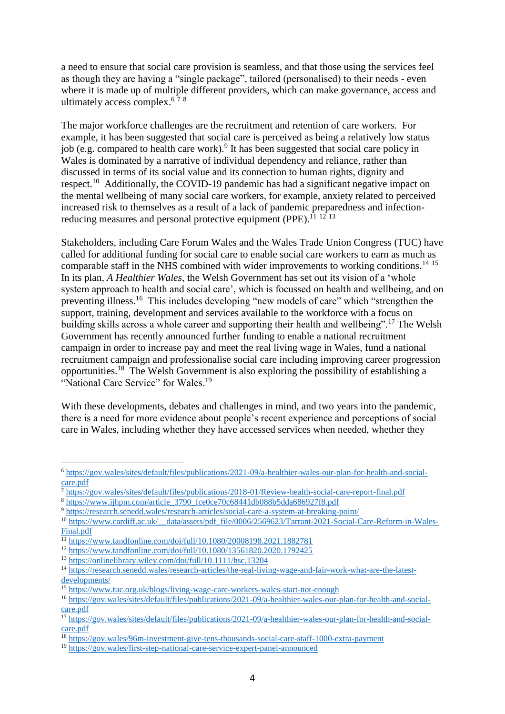a need to ensure that social care provision is seamless, and that those using the services feel as though they are having a "single package", tailored (personalised) to their needs - even where it is made up of multiple different providers, which can make governance, access and ultimately access complex. $678$ 

The major workforce challenges are the recruitment and retention of care workers. For example, it has been suggested that social care is perceived as being a relatively low status job (e.g. compared to health care work). 9 It has been suggested that social care policy in Wales is dominated by a narrative of individual dependency and reliance, rather than discussed in terms of its social value and its connection to human rights, dignity and respect.<sup>10</sup> Additionally, the COVID-19 pandemic has had a significant negative impact on the mental wellbeing of many social care workers, for example, anxiety related to perceived increased risk to themselves as a result of a lack of pandemic preparedness and infectionreducing measures and personal protective equipment (PPE).<sup>11 12 13</sup>

Stakeholders, including Care Forum Wales and the Wales Trade Union Congress (TUC) have called for additional funding for social care to enable social care workers to earn as much as comparable staff in the NHS combined with wider improvements to working conditions. 14 15 In its plan, *A Healthier Wales,* the Welsh Government has set out its vision of a 'whole system approach to health and social care', which is focussed on health and wellbeing, and on preventing illness.<sup>16</sup> This includes developing "new models of care" which "strengthen the support, training, development and services available to the workforce with a focus on building skills across a whole career and supporting their health and wellbeing".<sup>17</sup> The Welsh Government has recently announced further funding to enable a national recruitment campaign in order to increase pay and meet the real living wage in Wales, fund a national recruitment campaign and professionalise social care including improving career progression opportunities.<sup>18</sup> The Welsh Government is also exploring the possibility of establishing a "National Care Service" for Wales.<sup>19</sup>

With these developments, debates and challenges in mind, and two years into the pandemic, there is a need for more evidence about people's recent experience and perceptions of social care in Wales, including whether they have accessed services when needed, whether they

 $\overline{a}$ 

<sup>6</sup> [https://gov.wales/sites/default/files/publications/2021-09/a-healthier-wales-our-plan-for-health-and-social](https://gov.wales/sites/default/files/publications/2021-09/a-healthier-wales-our-plan-for-health-and-social-care.pdf)[care.pdf](https://gov.wales/sites/default/files/publications/2021-09/a-healthier-wales-our-plan-for-health-and-social-care.pdf)

<sup>7</sup> <https://gov.wales/sites/default/files/publications/2018-01/Review-health-social-care-report-final.pdf>

<sup>8</sup> [https://www.ijhpm.com/article\\_3790\\_fce0ce70c68441db088b5dda686927f8.pdf](https://www.ijhpm.com/article_3790_fce0ce70c68441db088b5dda686927f8.pdf)

<sup>9</sup> <https://research.senedd.wales/research-articles/social-care-a-system-at-breaking-point/>

<sup>10</sup> [https://www.cardiff.ac.uk/\\_\\_data/assets/pdf\\_file/0006/2569623/Tarrant-2021-Social-Care-Reform-in-Wales-](https://www.cardiff.ac.uk/__data/assets/pdf_file/0006/2569623/Tarrant-2021-Social-Care-Reform-in-Wales-Final.pdf)[Final.pdf](https://www.cardiff.ac.uk/__data/assets/pdf_file/0006/2569623/Tarrant-2021-Social-Care-Reform-in-Wales-Final.pdf)

<sup>11</sup> <https://www.tandfonline.com/doi/full/10.1080/20008198.2021.1882781>

<sup>12</sup> <https://www.tandfonline.com/doi/full/10.1080/13561820.2020.1792425>

<sup>13</sup> <https://onlinelibrary.wiley.com/doi/full/10.1111/hsc.13204>

<sup>14</sup> [https://research.senedd.wales/research-articles/the-real-living-wage-and-fair-work-what-are-the-latest](https://research.senedd.wales/research-articles/the-real-living-wage-and-fair-work-what-are-the-latest-developments/)[developments/](https://research.senedd.wales/research-articles/the-real-living-wage-and-fair-work-what-are-the-latest-developments/)

<sup>15</sup> <https://www.tuc.org.uk/blogs/living-wage-care-workers-wales-start-not-enough>

<sup>16</sup> [https://gov.wales/sites/default/files/publications/2021-09/a-healthier-wales-our-plan-for-health-and-social](https://gov.wales/sites/default/files/publications/2021-09/a-healthier-wales-our-plan-for-health-and-social-care.pdf)[care.pdf](https://gov.wales/sites/default/files/publications/2021-09/a-healthier-wales-our-plan-for-health-and-social-care.pdf)

<sup>&</sup>lt;sup>17</sup> [https://gov.wales/sites/default/files/publications/2021-09/a-healthier-wales-our-plan-for-health-and-social](https://gov.wales/sites/default/files/publications/2021-09/a-healthier-wales-our-plan-for-health-and-social-care.pdf)[care.pdf](https://gov.wales/sites/default/files/publications/2021-09/a-healthier-wales-our-plan-for-health-and-social-care.pdf)

<sup>18</sup> <https://gov.wales/96m-investment-give-tens-thousands-social-care-staff-1000-extra-payment>

<sup>19</sup> <https://gov.wales/first-step-national-care-service-expert-panel-announced>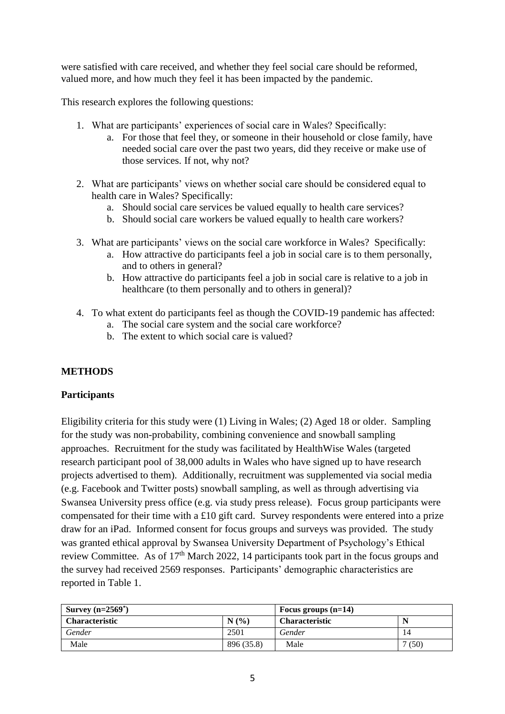were satisfied with care received, and whether they feel social care should be reformed, valued more, and how much they feel it has been impacted by the pandemic.

This research explores the following questions:

- 1. What are participants' experiences of social care in Wales? Specifically:
	- a. For those that feel they, or someone in their household or close family, have needed social care over the past two years, did they receive or make use of those services. If not, why not?
- 2. What are participants' views on whether social care should be considered equal to health care in Wales? Specifically:
	- a. Should social care services be valued equally to health care services?
	- b. Should social care workers be valued equally to health care workers?
- 3. What are participants' views on the social care workforce in Wales? Specifically:
	- a. How attractive do participants feel a job in social care is to them personally, and to others in general?
	- b. How attractive do participants feel a job in social care is relative to a job in healthcare (to them personally and to others in general)?
- 4. To what extent do participants feel as though the COVID-19 pandemic has affected:
	- a. The social care system and the social care workforce?
	- b. The extent to which social care is valued?

# **METHODS**

# **Participants**

Eligibility criteria for this study were (1) Living in Wales; (2) Aged 18 or older. Sampling for the study was non-probability, combining convenience and snowball sampling approaches. Recruitment for the study was facilitated by HealthWise Wales (targeted research participant pool of 38,000 adults in Wales who have signed up to have research projects advertised to them). Additionally, recruitment was supplemented via social media (e.g. Facebook and Twitter posts) snowball sampling, as well as through advertising via Swansea University press office (e.g. via study press release). Focus group participants were compensated for their time with a £10 gift card. Survey respondents were entered into a prize draw for an iPad. Informed consent for focus groups and surveys was provided. The study was granted ethical approval by Swansea University Department of Psychology's Ethical review Committee. As of 17<sup>th</sup> March 2022, 14 participants took part in the focus groups and the survey had received 2569 responses. Participants' demographic characteristics are reported in Table 1.

| Survey $(n=2569^*)$   |            | Focus groups $(n=14)$ |      |  |
|-----------------------|------------|-----------------------|------|--|
| <b>Characteristic</b> | N(%)       | <b>Characteristic</b> | N    |  |
| Gender                | 2501       | Gender                | 14   |  |
| Male                  | 896 (35.8) | Male                  | (50) |  |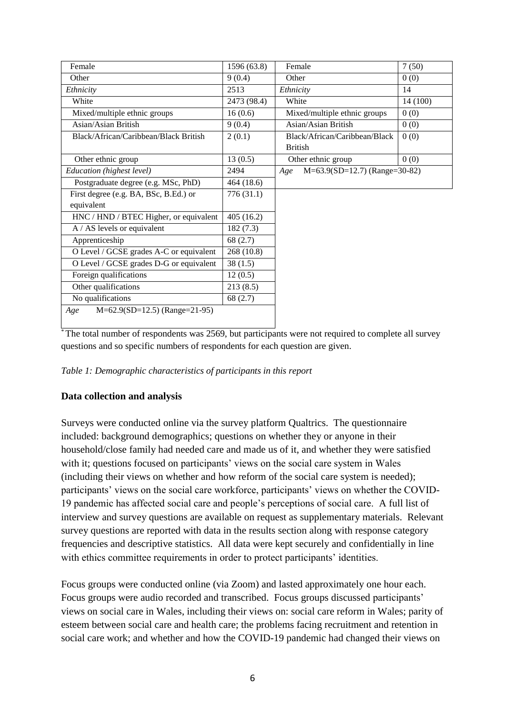| Female                                  | 1596 (63.8) | Female                                 | 7(50)    |
|-----------------------------------------|-------------|----------------------------------------|----------|
| Other                                   | 9(0.4)      | Other                                  | 0(0)     |
| Ethnicity                               | 2513        | Ethnicity                              | 14       |
| White                                   | 2473 (98.4) | White                                  | 14 (100) |
| Mixed/multiple ethnic groups            | 16(0.6)     | Mixed/multiple ethnic groups           | 0(0)     |
| Asian/Asian British                     | 9(0.4)      | Asian/Asian British                    | 0(0)     |
| Black/African/Caribbean/Black British   | 2(0.1)      | Black/African/Caribbean/Black          | 0(0)     |
|                                         |             | <b>British</b>                         |          |
| Other ethnic group                      | 13(0.5)     | Other ethnic group                     | 0(0)     |
| Education (highest level)               | 2494        | Age<br>$M=63.9(SD=12.7)$ (Range=30-82) |          |
| Postgraduate degree (e.g. MSc, PhD)     | 464 (18.6)  |                                        |          |
| First degree (e.g. BA, BSc, B.Ed.) or   | 776(31.1)   |                                        |          |
| equivalent                              |             |                                        |          |
| HNC / HND / BTEC Higher, or equivalent  | 405(16.2)   |                                        |          |
| $A / AS$ levels or equivalent           | 182(7.3)    |                                        |          |
| Apprenticeship                          | 68(2.7)     |                                        |          |
| O Level / GCSE grades A-C or equivalent | 268 (10.8)  |                                        |          |
| O Level / GCSE grades D-G or equivalent | 38(1.5)     |                                        |          |
| Foreign qualifications                  | 12(0.5)     |                                        |          |
| Other qualifications                    | 213(8.5)    |                                        |          |
| No qualifications                       | 68(2.7)     |                                        |          |
| $M=62.9(SD=12.5)$ (Range=21-95)<br>Age  |             |                                        |          |
|                                         |             |                                        |          |

<sup>\*</sup>The total number of respondents was 2569, but participants were not required to complete all survey questions and so specific numbers of respondents for each question are given.

*Table 1: Demographic characteristics of participants in this report*

# **Data collection and analysis**

Surveys were conducted online via the survey platform Qualtrics. The questionnaire included: background demographics; questions on whether they or anyone in their household/close family had needed care and made us of it, and whether they were satisfied with it; questions focused on participants' views on the social care system in Wales (including their views on whether and how reform of the social care system is needed); participants' views on the social care workforce, participants' views on whether the COVID-19 pandemic has affected social care and people's perceptions of social care. A full list of interview and survey questions are available on request as supplementary materials. Relevant survey questions are reported with data in the results section along with response category frequencies and descriptive statistics. All data were kept securely and confidentially in line with ethics committee requirements in order to protect participants' identities.

Focus groups were conducted online (via Zoom) and lasted approximately one hour each. Focus groups were audio recorded and transcribed. Focus groups discussed participants' views on social care in Wales, including their views on: social care reform in Wales; parity of esteem between social care and health care; the problems facing recruitment and retention in social care work; and whether and how the COVID-19 pandemic had changed their views on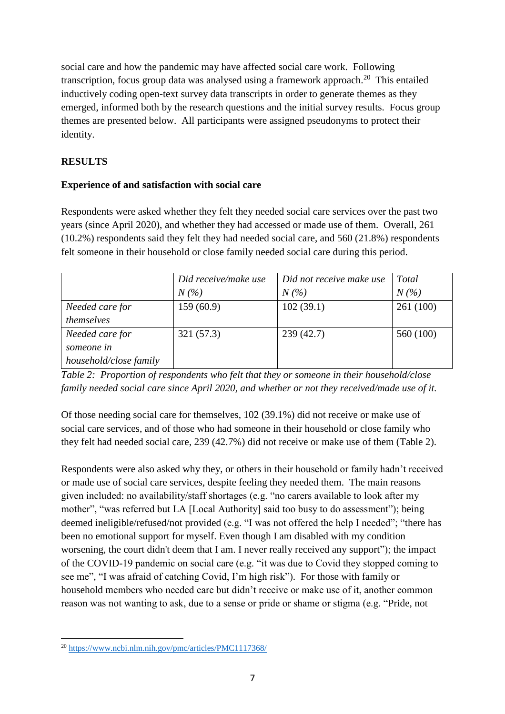social care and how the pandemic may have affected social care work. Following transcription, focus group data was analysed using a framework approach. 20 This entailed inductively coding open-text survey data transcripts in order to generate themes as they emerged, informed both by the research questions and the initial survey results. Focus group themes are presented below. All participants were assigned pseudonyms to protect their identity.

# **RESULTS**

# **Experience of and satisfaction with social care**

Respondents were asked whether they felt they needed social care services over the past two years (since April 2020), and whether they had accessed or made use of them. Overall, 261 (10.2%) respondents said they felt they had needed social care, and 560 (21.8%) respondents felt someone in their household or close family needed social care during this period.

|                        | Did receive/make use<br>Did not receive make use |           | <b>Total</b> |
|------------------------|--------------------------------------------------|-----------|--------------|
|                        | $N(\%)$                                          | $N(\%)$   | $N(\%)$      |
| Needed care for        | 159(60.9)                                        | 102(39.1) | 261 (100)    |
| themselves             |                                                  |           |              |
| Needed care for        | 321 (57.3)                                       | 239(42.7) | 560 (100)    |
| someone in             |                                                  |           |              |
| household/close family |                                                  |           |              |

*Table 2: Proportion of respondents who felt that they or someone in their household/close family needed social care since April 2020, and whether or not they received/made use of it.* 

Of those needing social care for themselves, 102 (39.1%) did not receive or make use of social care services, and of those who had someone in their household or close family who they felt had needed social care, 239 (42.7%) did not receive or make use of them (Table 2).

Respondents were also asked why they, or others in their household or family hadn't received or made use of social care services, despite feeling they needed them. The main reasons given included: no availability/staff shortages (e.g. "no carers available to look after my mother", "was referred but LA [Local Authority] said too busy to do assessment"); being deemed ineligible/refused/not provided (e.g. "I was not offered the help I needed"; "there has been no emotional support for myself. Even though I am disabled with my condition worsening, the court didn't deem that I am. I never really received any support"); the impact of the COVID-19 pandemic on social care (e.g. "it was due to Covid they stopped coming to see me", "I was afraid of catching Covid, I'm high risk"). For those with family or household members who needed care but didn't receive or make use of it, another common reason was not wanting to ask, due to a sense or pride or shame or stigma (e.g. "Pride, not

 $\overline{a}$ <sup>20</sup> <https://www.ncbi.nlm.nih.gov/pmc/articles/PMC1117368/>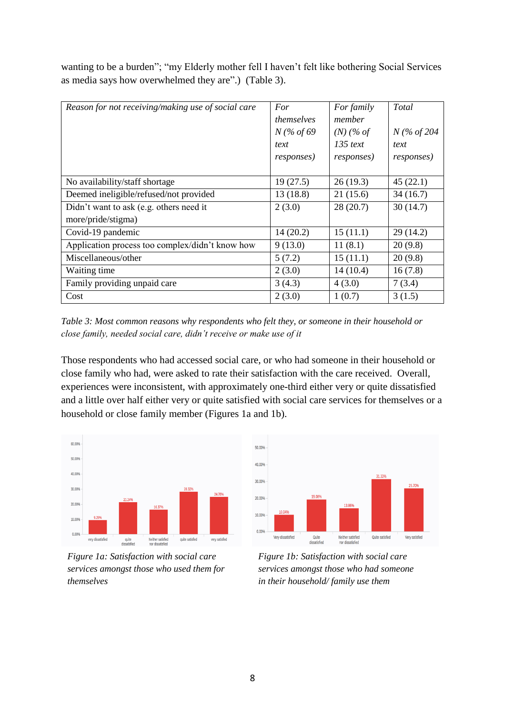wanting to be a burden"; "my Elderly mother fell I haven't felt like bothering Social Services as media says how overwhelmed they are".) (Table 3).

| Reason for not receiving/making use of social care | For<br>themselves<br>$N$ (% of 69<br>text<br><i>responses</i> ) | For family<br>member<br>$(N)$ (% of<br>$135$ text<br><i>responses</i> ) | Total<br>$N$ (% of 204<br>text<br><i>responses</i> ) |
|----------------------------------------------------|-----------------------------------------------------------------|-------------------------------------------------------------------------|------------------------------------------------------|
| No availability/staff shortage                     | 19(27.5)                                                        | 26(19.3)                                                                | 45(22.1)                                             |
| Deemed ineligible/refused/not provided             | 13(18.8)                                                        | 21(15.6)                                                                | 34(16.7)                                             |
| Didn't want to ask (e.g. others need it            | 2(3.0)                                                          | 28(20.7)                                                                | 30(14.7)                                             |
| more/pride/stigma)                                 |                                                                 |                                                                         |                                                      |
| Covid-19 pandemic                                  | 14(20.2)                                                        | 15(11.1)                                                                | 29(14.2)                                             |
| Application process too complex/didn't know how    | 9(13.0)                                                         | 11(8.1)                                                                 | 20(9.8)                                              |
| Miscellaneous/other                                | 5(7.2)                                                          | 15(11.1)                                                                | 20(9.8)                                              |
| Waiting time                                       | 2(3.0)                                                          | 14(10.4)                                                                | 16(7.8)                                              |
| Family providing unpaid care                       | 3(4.3)                                                          | 4(3.0)                                                                  | 7(3.4)                                               |
| Cost                                               | 2(3.0)                                                          | 1(0.7)                                                                  | 3(1.5)                                               |

*Table 3: Most common reasons why respondents who felt they, or someone in their household or close family, needed social care, didn't receive or make use of it* 

Those respondents who had accessed social care, or who had someone in their household or close family who had, were asked to rate their satisfaction with the care received. Overall, experiences were inconsistent, with approximately one-third either very or quite dissatisfied and a little over half either very or quite satisfied with social care services for themselves or a household or close family member (Figures 1a and 1b).



*Figure 1a: Satisfaction with social care services amongst those who used them for themselves*



*Figure 1b: Satisfaction with social care services amongst those who had someone in their household/ family use them*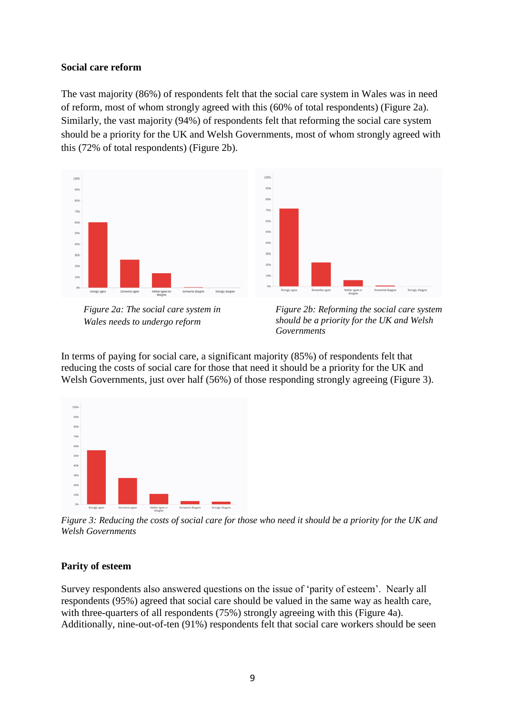#### **Social care reform**

The vast majority (86%) of respondents felt that the social care system in Wales was in need of reform, most of whom strongly agreed with this (60% of total respondents) (Figure 2a). Similarly, the vast majority (94%) of respondents felt that reforming the social care system should be a priority for the UK and Welsh Governments, most of whom strongly agreed with this (72% of total respondents) (Figure 2b).



*Figure 2a: The social care system in Wales needs to undergo reform*

*Figure 2b: Reforming the social care system should be a priority for the UK and Welsh Governments*

In terms of paying for social care, a significant majority (85%) of respondents felt that reducing the costs of social care for those that need it should be a priority for the UK and Welsh Governments, just over half (56%) of those responding strongly agreeing (Figure 3).



*Figure 3: Reducing the costs of social care for those who need it should be a priority for the UK and Welsh Governments*

### **Parity of esteem**

Survey respondents also answered questions on the issue of 'parity of esteem'. Nearly all respondents (95%) agreed that social care should be valued in the same way as health care, with three-quarters of all respondents (75%) strongly agreeing with this (Figure 4a). Additionally, nine-out-of-ten (91%) respondents felt that social care workers should be seen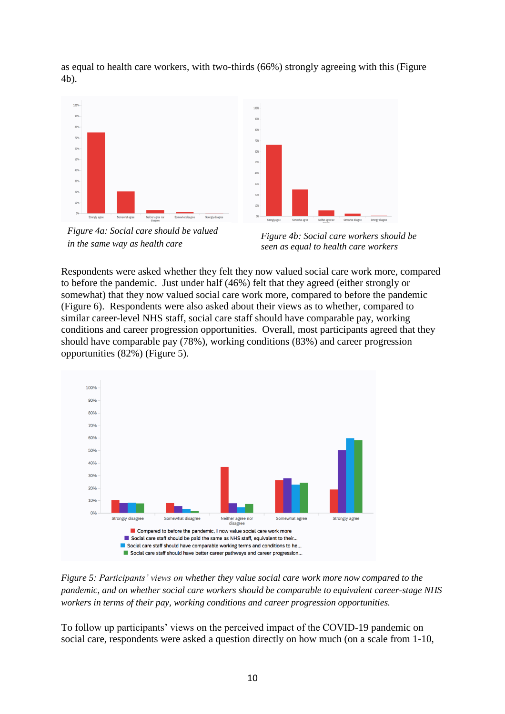as equal to health care workers, with two-thirds (66%) strongly agreeing with this (Figure 4b).



*Figure 4a: Social care should be valued in the same way as health care*



*Figure 4b: Social care workers should be seen as equal to health care workers* 

Respondents were asked whether they felt they now valued social care work more, compared to before the pandemic. Just under half (46%) felt that they agreed (either strongly or somewhat) that they now valued social care work more, compared to before the pandemic (Figure 6). Respondents were also asked about their views as to whether, compared to similar career-level NHS staff, social care staff should have comparable pay, working conditions and career progression opportunities. Overall, most participants agreed that they should have comparable pay (78%), working conditions (83%) and career progression opportunities (82%) (Figure 5).



*Figure 5: Participants' views on whether they value social care work more now compared to the pandemic, and on whether social care workers should be comparable to equivalent career-stage NHS workers in terms of their pay, working conditions and career progression opportunities.* 

To follow up participants' views on the perceived impact of the COVID-19 pandemic on social care, respondents were asked a question directly on how much (on a scale from 1-10,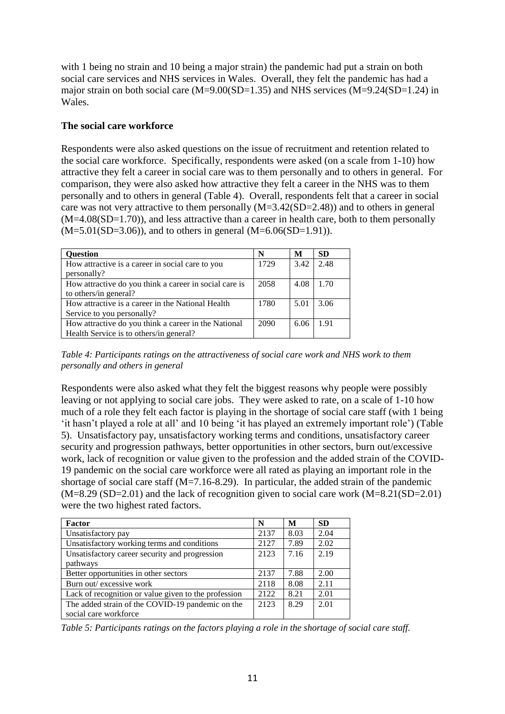with 1 being no strain and 10 being a major strain) the pandemic had put a strain on both social care services and NHS services in Wales. Overall, they felt the pandemic has had a major strain on both social care  $(M=9.00(SD=1.35)$  and NHS services  $(M=9.24(SD=1.24)$  in Wales.

### **The social care workforce**

Respondents were also asked questions on the issue of recruitment and retention related to the social care workforce. Specifically, respondents were asked (on a scale from 1-10) how attractive they felt a career in social care was to them personally and to others in general. For comparison, they were also asked how attractive they felt a career in the NHS was to them personally and to others in general (Table 4). Overall, respondents felt that a career in social care was not very attractive to them personally (M=3.42(SD=2.48)) and to others in general  $(M=4.08(SD=1.70))$ , and less attractive than a career in health care, both to them personally  $(M=5.01(SD=3.06))$ , and to others in general  $(M=6.06(SD=1.91))$ .

| <b>Question</b>                                        | N    | M    | <b>SD</b> |
|--------------------------------------------------------|------|------|-----------|
| How attractive is a career in social care to you       | 1729 | 3.42 | 2.48      |
| personally?                                            |      |      |           |
| How attractive do you think a career in social care is | 2058 | 4.08 | 1.70      |
| to others/in general?                                  |      |      |           |
| How attractive is a career in the National Health      | 1780 | 5.01 | 3.06      |
| Service to you personally?                             |      |      |           |
| How attractive do you think a career in the National   | 2090 | 6.06 | 1.91      |
| Health Service is to others/in general?                |      |      |           |

*Table 4: Participants ratings on the attractiveness of social care work and NHS work to them personally and others in general*

Respondents were also asked what they felt the biggest reasons why people were possibly leaving or not applying to social care jobs. They were asked to rate, on a scale of 1-10 how much of a role they felt each factor is playing in the shortage of social care staff (with 1 being 'it hasn't played a role at all' and 10 being 'it has played an extremely important role') (Table 5). Unsatisfactory pay, unsatisfactory working terms and conditions, unsatisfactory career security and progression pathways, better opportunities in other sectors, burn out/excessive work, lack of recognition or value given to the profession and the added strain of the COVID-19 pandemic on the social care workforce were all rated as playing an important role in the shortage of social care staff  $(M=7.16-8.29)$ . In particular, the added strain of the pandemic  $(M=8.29 (SD=2.01)$  and the lack of recognition given to social care work  $(M=8.21(SD=2.01)$ were the two highest rated factors.

| Factor                                               | N    | M    | <b>SD</b> |
|------------------------------------------------------|------|------|-----------|
| Unsatisfactory pay                                   | 2137 | 8.03 | 2.04      |
| Unsatisfactory working terms and conditions          | 2127 | 7.89 | 2.02      |
| Unsatisfactory career security and progression       | 2123 | 7.16 | 2.19      |
| pathways                                             |      |      |           |
| Better opportunities in other sectors                | 2137 | 7.88 | 2.00      |
| Burn out/ excessive work                             | 2118 | 8.08 | 2.11      |
| Lack of recognition or value given to the profession | 2122 | 8.21 | 2.01      |
| The added strain of the COVID-19 pandemic on the     | 2123 | 8.29 | 2.01      |
| social care workforce                                |      |      |           |

*Table 5: Participants ratings on the factors playing a role in the shortage of social care staff.*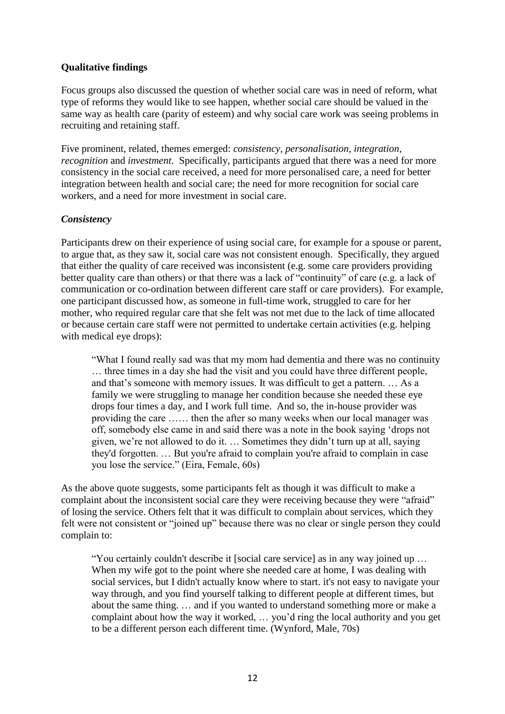# **Qualitative findings**

Focus groups also discussed the question of whether social care was in need of reform, what type of reforms they would like to see happen, whether social care should be valued in the same way as health care (parity of esteem) and why social care work was seeing problems in recruiting and retaining staff.

Five prominent, related, themes emerged: *consistency, personalisation, integration, recognition* and *investment*. Specifically, participants argued that there was a need for more consistency in the social care received, a need for more personalised care, a need for better integration between health and social care; the need for more recognition for social care workers, and a need for more investment in social care.

### *Consistency*

Participants drew on their experience of using social care, for example for a spouse or parent, to argue that, as they saw it, social care was not consistent enough. Specifically, they argued that either the quality of care received was inconsistent (e.g. some care providers providing better quality care than others) or that there was a lack of "continuity" of care (e.g. a lack of communication or co-ordination between different care staff or care providers). For example, one participant discussed how, as someone in full-time work, struggled to care for her mother, who required regular care that she felt was not met due to the lack of time allocated or because certain care staff were not permitted to undertake certain activities (e.g. helping with medical eye drops):

"What I found really sad was that my mom had dementia and there was no continuity … three times in a day she had the visit and you could have three different people, and that's someone with memory issues. It was difficult to get a pattern. … As a family we were struggling to manage her condition because she needed these eye drops four times a day, and I work full time. And so, the in-house provider was providing the care …… then the after so many weeks when our local manager was off, somebody else came in and said there was a note in the book saying 'drops not given, we're not allowed to do it. … Sometimes they didn't turn up at all, saying they'd forgotten. … But you're afraid to complain you're afraid to complain in case you lose the service." (Eira, Female, 60s)

As the above quote suggests, some participants felt as though it was difficult to make a complaint about the inconsistent social care they were receiving because they were "afraid" of losing the service. Others felt that it was difficult to complain about services, which they felt were not consistent or "joined up" because there was no clear or single person they could complain to:

"You certainly couldn't describe it [social care service] as in any way joined up … When my wife got to the point where she needed care at home, I was dealing with social services, but I didn't actually know where to start. it's not easy to navigate your way through, and you find yourself talking to different people at different times, but about the same thing. … and if you wanted to understand something more or make a complaint about how the way it worked, … you'd ring the local authority and you get to be a different person each different time. (Wynford, Male, 70s)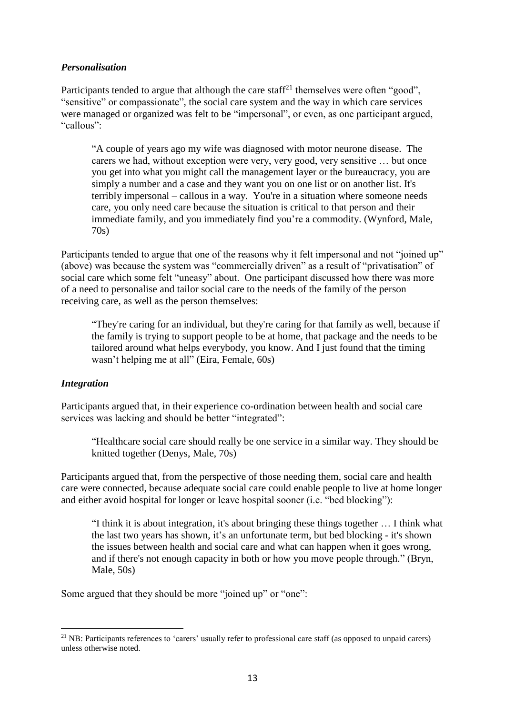## *Personalisation*

Participants tended to argue that although the care staff<sup>21</sup> themselves were often "good", "sensitive" or compassionate", the social care system and the way in which care services were managed or organized was felt to be "impersonal", or even, as one participant argued, "callous":

"A couple of years ago my wife was diagnosed with motor neurone disease. The carers we had, without exception were very, very good, very sensitive … but once you get into what you might call the management layer or the bureaucracy, you are simply a number and a case and they want you on one list or on another list. It's terribly impersonal – callous in a way. You're in a situation where someone needs care, you only need care because the situation is critical to that person and their immediate family, and you immediately find you're a commodity. (Wynford, Male, 70s)

Participants tended to argue that one of the reasons why it felt impersonal and not "joined up" (above) was because the system was "commercially driven" as a result of "privatisation" of social care which some felt "uneasy" about. One participant discussed how there was more of a need to personalise and tailor social care to the needs of the family of the person receiving care, as well as the person themselves:

"They're caring for an individual, but they're caring for that family as well, because if the family is trying to support people to be at home, that package and the needs to be tailored around what helps everybody, you know. And I just found that the timing wasn't helping me at all" (Eira, Female, 60s)

### *Integration*

 $\overline{a}$ 

Participants argued that, in their experience co-ordination between health and social care services was lacking and should be better "integrated":

"Healthcare social care should really be one service in a similar way. They should be knitted together (Denys, Male, 70s)

Participants argued that, from the perspective of those needing them, social care and health care were connected, because adequate social care could enable people to live at home longer and either avoid hospital for longer or leave hospital sooner (i.e. "bed blocking"):

"I think it is about integration, it's about bringing these things together … I think what the last two years has shown, it's an unfortunate term, but bed blocking - it's shown the issues between health and social care and what can happen when it goes wrong, and if there's not enough capacity in both or how you move people through." (Bryn, Male, 50s)

Some argued that they should be more "joined up" or "one":

<sup>&</sup>lt;sup>21</sup> NB: Participants references to 'carers' usually refer to professional care staff (as opposed to unpaid carers) unless otherwise noted.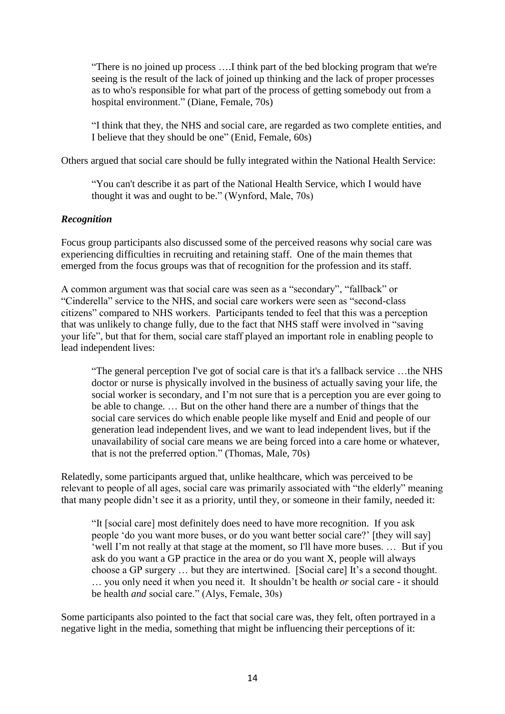"There is no joined up process ….I think part of the bed blocking program that we're seeing is the result of the lack of joined up thinking and the lack of proper processes as to who's responsible for what part of the process of getting somebody out from a hospital environment." (Diane, Female, 70s)

"I think that they, the NHS and social care, are regarded as two complete entities, and I believe that they should be one" (Enid, Female, 60s)

Others argued that social care should be fully integrated within the National Health Service:

"You can't describe it as part of the National Health Service, which I would have thought it was and ought to be." (Wynford, Male, 70s)

### *Recognition*

Focus group participants also discussed some of the perceived reasons why social care was experiencing difficulties in recruiting and retaining staff. One of the main themes that emerged from the focus groups was that of recognition for the profession and its staff.

A common argument was that social care was seen as a "secondary", "fallback" or "Cinderella" service to the NHS, and social care workers were seen as "second-class citizens" compared to NHS workers. Participants tended to feel that this was a perception that was unlikely to change fully, due to the fact that NHS staff were involved in "saving your life", but that for them, social care staff played an important role in enabling people to lead independent lives:

"The general perception I've got of social care is that it's a fallback service …the NHS doctor or nurse is physically involved in the business of actually saving your life, the social worker is secondary, and I'm not sure that is a perception you are ever going to be able to change. … But on the other hand there are a number of things that the social care services do which enable people like myself and Enid and people of our generation lead independent lives, and we want to lead independent lives, but if the unavailability of social care means we are being forced into a care home or whatever, that is not the preferred option." (Thomas, Male, 70s)

Relatedly, some participants argued that, unlike healthcare, which was perceived to be relevant to people of all ages, social care was primarily associated with "the elderly" meaning that many people didn't see it as a priority, until they, or someone in their family, needed it:

"It [social care] most definitely does need to have more recognition. If you ask people 'do you want more buses, or do you want better social care?' [they will say] 'well I'm not really at that stage at the moment, so I'll have more buses. … But if you ask do you want a GP practice in the area or do you want X, people will always choose a GP surgery … but they are intertwined. [Social care] It's a second thought. … you only need it when you need it. It shouldn't be health *or* social care - it should be health *and* social care." (Alys, Female, 30s)

Some participants also pointed to the fact that social care was, they felt, often portrayed in a negative light in the media, something that might be influencing their perceptions of it: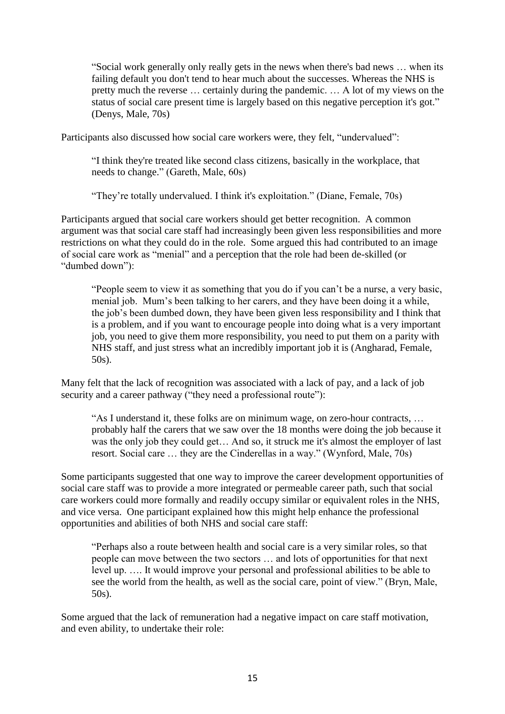"Social work generally only really gets in the news when there's bad news … when its failing default you don't tend to hear much about the successes. Whereas the NHS is pretty much the reverse … certainly during the pandemic. … A lot of my views on the status of social care present time is largely based on this negative perception it's got." (Denys, Male, 70s)

Participants also discussed how social care workers were, they felt, "undervalued":

"I think they're treated like second class citizens, basically in the workplace, that needs to change." (Gareth, Male, 60s)

"They're totally undervalued. I think it's exploitation." (Diane, Female, 70s)

Participants argued that social care workers should get better recognition. A common argument was that social care staff had increasingly been given less responsibilities and more restrictions on what they could do in the role. Some argued this had contributed to an image of social care work as "menial" and a perception that the role had been de-skilled (or "dumbed down"):

"People seem to view it as something that you do if you can't be a nurse, a very basic, menial job. Mum's been talking to her carers, and they have been doing it a while, the job's been dumbed down, they have been given less responsibility and I think that is a problem, and if you want to encourage people into doing what is a very important job, you need to give them more responsibility, you need to put them on a parity with NHS staff, and just stress what an incredibly important job it is (Angharad, Female, 50s).

Many felt that the lack of recognition was associated with a lack of pay, and a lack of job security and a career pathway ("they need a professional route"):

"As I understand it, these folks are on minimum wage, on zero-hour contracts, … probably half the carers that we saw over the 18 months were doing the job because it was the only job they could get… And so, it struck me it's almost the employer of last resort. Social care … they are the Cinderellas in a way." (Wynford, Male, 70s)

Some participants suggested that one way to improve the career development opportunities of social care staff was to provide a more integrated or permeable career path, such that social care workers could more formally and readily occupy similar or equivalent roles in the NHS, and vice versa. One participant explained how this might help enhance the professional opportunities and abilities of both NHS and social care staff:

"Perhaps also a route between health and social care is a very similar roles, so that people can move between the two sectors … and lots of opportunities for that next level up. …. It would improve your personal and professional abilities to be able to see the world from the health, as well as the social care, point of view." (Bryn, Male, 50s).

Some argued that the lack of remuneration had a negative impact on care staff motivation, and even ability, to undertake their role: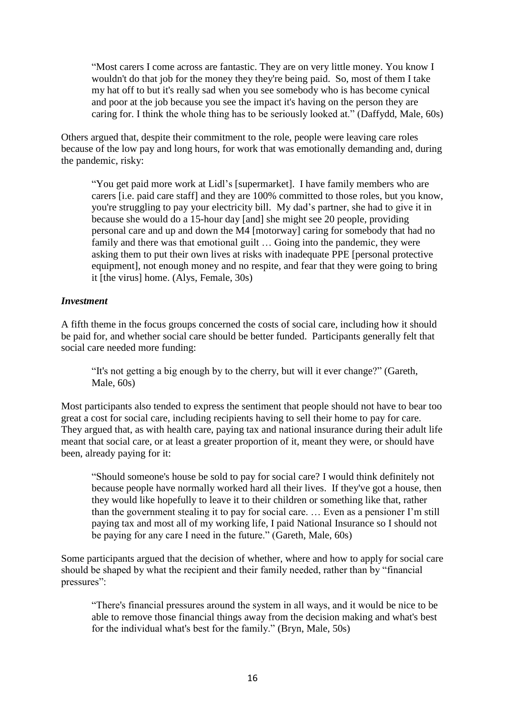"Most carers I come across are fantastic. They are on very little money. You know I wouldn't do that job for the money they they're being paid. So, most of them I take my hat off to but it's really sad when you see somebody who is has become cynical and poor at the job because you see the impact it's having on the person they are caring for. I think the whole thing has to be seriously looked at." (Daffydd, Male, 60s)

Others argued that, despite their commitment to the role, people were leaving care roles because of the low pay and long hours, for work that was emotionally demanding and, during the pandemic, risky:

"You get paid more work at Lidl's [supermarket]. I have family members who are carers [i.e. paid care staff] and they are 100% committed to those roles, but you know, you're struggling to pay your electricity bill. My dad's partner, she had to give it in because she would do a 15-hour day [and] she might see 20 people, providing personal care and up and down the M4 [motorway] caring for somebody that had no family and there was that emotional guilt ... Going into the pandemic, they were asking them to put their own lives at risks with inadequate PPE [personal protective equipment], not enough money and no respite, and fear that they were going to bring it [the virus] home. (Alys, Female, 30s)

#### *Investment*

A fifth theme in the focus groups concerned the costs of social care, including how it should be paid for, and whether social care should be better funded. Participants generally felt that social care needed more funding:

"It's not getting a big enough by to the cherry, but will it ever change?" (Gareth, Male, 60s)

Most participants also tended to express the sentiment that people should not have to bear too great a cost for social care, including recipients having to sell their home to pay for care. They argued that, as with health care, paying tax and national insurance during their adult life meant that social care, or at least a greater proportion of it, meant they were, or should have been, already paying for it:

"Should someone's house be sold to pay for social care? I would think definitely not because people have normally worked hard all their lives. If they've got a house, then they would like hopefully to leave it to their children or something like that, rather than the government stealing it to pay for social care. … Even as a pensioner I'm still paying tax and most all of my working life, I paid National Insurance so I should not be paying for any care I need in the future." (Gareth, Male, 60s)

Some participants argued that the decision of whether, where and how to apply for social care should be shaped by what the recipient and their family needed, rather than by "financial pressures":

"There's financial pressures around the system in all ways, and it would be nice to be able to remove those financial things away from the decision making and what's best for the individual what's best for the family." (Bryn, Male, 50s)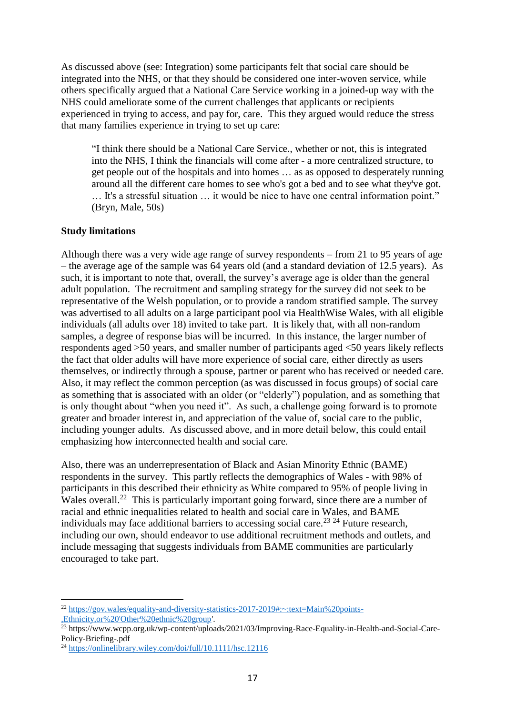As discussed above (see: Integration) some participants felt that social care should be integrated into the NHS, or that they should be considered one inter-woven service, while others specifically argued that a National Care Service working in a joined-up way with the NHS could ameliorate some of the current challenges that applicants or recipients experienced in trying to access, and pay for, care. This they argued would reduce the stress that many families experience in trying to set up care:

"I think there should be a National Care Service., whether or not, this is integrated into the NHS, I think the financials will come after - a more centralized structure, to get people out of the hospitals and into homes … as as opposed to desperately running around all the different care homes to see who's got a bed and to see what they've got. … It's a stressful situation … it would be nice to have one central information point." (Bryn, Male, 50s)

#### **Study limitations**

Although there was a very wide age range of survey respondents – from 21 to 95 years of age – the average age of the sample was 64 years old (and a standard deviation of 12.5 years). As such, it is important to note that, overall, the survey's average age is older than the general adult population. The recruitment and sampling strategy for the survey did not seek to be representative of the Welsh population, or to provide a random stratified sample. The survey was advertised to all adults on a large participant pool via HealthWise Wales, with all eligible individuals (all adults over 18) invited to take part. It is likely that, with all non-random samples, a degree of response bias will be incurred. In this instance, the larger number of respondents aged >50 years, and smaller number of participants aged <50 years likely reflects the fact that older adults will have more experience of social care, either directly as users themselves, or indirectly through a spouse, partner or parent who has received or needed care. Also, it may reflect the common perception (as was discussed in focus groups) of social care as something that is associated with an older (or "elderly") population, and as something that is only thought about "when you need it". As such, a challenge going forward is to promote greater and broader interest in, and appreciation of the value of, social care to the public, including younger adults. As discussed above, and in more detail below, this could entail emphasizing how interconnected health and social care.

Also, there was an underrepresentation of Black and Asian Minority Ethnic (BAME) respondents in the survey. This partly reflects the demographics of Wales - with 98% of participants in this described their ethnicity as White compared to 95% of people living in Wales overall.<sup>22</sup> This is particularly important going forward, since there are a number of racial and ethnic inequalities related to health and social care in Wales, and BAME individuals may face additional barriers to accessing social care.<sup>23 24</sup> Future research. including our own, should endeavor to use additional recruitment methods and outlets, and include messaging that suggests individuals from BAME communities are particularly encouraged to take part.

 $\overline{a}$ <sup>22</sup> [https://gov.wales/equality-and-diversity-statistics-2017-2019#:~:text=Main%20points-](https://gov.wales/equality-and-diversity-statistics-2017-2019#:~:text=Main%20points-,Ethnicity,or%20) [,Ethnicity,or%20'Other%20ethnic%20group'.](https://gov.wales/equality-and-diversity-statistics-2017-2019#:~:text=Main%20points-,Ethnicity,or%20)

<sup>23</sup> https://www.wcpp.org.uk/wp-content/uploads/2021/03/Improving-Race-Equality-in-Health-and-Social-Care-Policy-Briefing-.pdf

<sup>24</sup> <https://onlinelibrary.wiley.com/doi/full/10.1111/hsc.12116>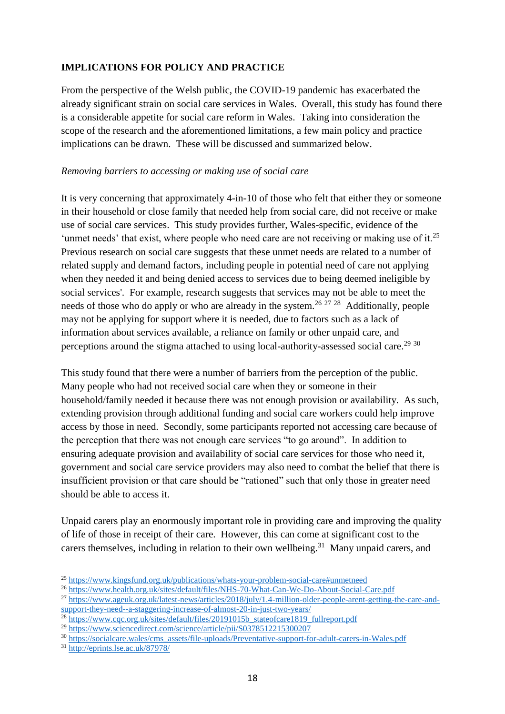# **IMPLICATIONS FOR POLICY AND PRACTICE**

From the perspective of the Welsh public, the COVID-19 pandemic has exacerbated the already significant strain on social care services in Wales. Overall, this study has found there is a considerable appetite for social care reform in Wales. Taking into consideration the scope of the research and the aforementioned limitations, a few main policy and practice implications can be drawn. These will be discussed and summarized below.

### *Removing barriers to accessing or making use of social care*

It is very concerning that approximately 4-in-10 of those who felt that either they or someone in their household or close family that needed help from social care, did not receive or make use of social care services. This study provides further, Wales-specific, evidence of the 'unmet needs' that exist, where people who need care are not receiving or making use of it.<sup>25</sup> Previous research on social care suggests that these unmet needs are related to a number of related supply and demand factors, including people in potential need of care not applying when they needed it and being denied access to services due to being deemed ineligible by social services'. For example, research suggests that services may not be able to meet the needs of those who do apply or who are already in the system.<sup>26 27</sup> <sup>28</sup> Additionally, people may not be applying for support where it is needed, due to factors such as a lack of information about services available, a reliance on family or other unpaid care, and perceptions around the stigma attached to using local-authority-assessed social care.<sup>29 30</sup>

This study found that there were a number of barriers from the perception of the public. Many people who had not received social care when they or someone in their household/family needed it because there was not enough provision or availability. As such, extending provision through additional funding and social care workers could help improve access by those in need. Secondly, some participants reported not accessing care because of the perception that there was not enough care services "to go around". In addition to ensuring adequate provision and availability of social care services for those who need it, government and social care service providers may also need to combat the belief that there is insufficient provision or that care should be "rationed" such that only those in greater need should be able to access it.

Unpaid carers play an enormously important role in providing care and improving the quality of life of those in receipt of their care. However, this can come at significant cost to the carers themselves, including in relation to their own wellbeing.<sup>31</sup> Many unpaid carers, and

 $\overline{a}$ <sup>25</sup> <https://www.kingsfund.org.uk/publications/whats-your-problem-social-care#unmetneed>

<sup>26</sup> <https://www.health.org.uk/sites/default/files/NHS-70-What-Can-We-Do-About-Social-Care.pdf>

<sup>27</sup> [https://www.ageuk.org.uk/latest-news/articles/2018/july/1.4-million-older-people-arent-getting-the-care-and](https://www.ageuk.org.uk/latest-news/articles/2018/july/1.4-million-older-people-arent-getting-the-care-and-support-they-need--a-staggering-increase-of-almost-20-in-just-two-years/)[support-they-need--a-staggering-increase-of-almost-20-in-just-two-years/](https://www.ageuk.org.uk/latest-news/articles/2018/july/1.4-million-older-people-arent-getting-the-care-and-support-they-need--a-staggering-increase-of-almost-20-in-just-two-years/)

<sup>&</sup>lt;sup>28</sup> [https://www.cqc.org.uk/sites/default/files/20191015b\\_stateofcare1819\\_fullreport.pdf](https://www.cqc.org.uk/sites/default/files/20191015b_stateofcare1819_fullreport.pdf)

<sup>29</sup> <https://www.sciencedirect.com/science/article/pii/S0378512215300207>

<sup>30</sup> [https://socialcare.wales/cms\\_assets/file-uploads/Preventative-support-for-adult-carers-in-Wales.pdf](https://socialcare.wales/cms_assets/file-uploads/Preventative-support-for-adult-carers-in-Wales.pdf)

<sup>31</sup> <http://eprints.lse.ac.uk/87978/>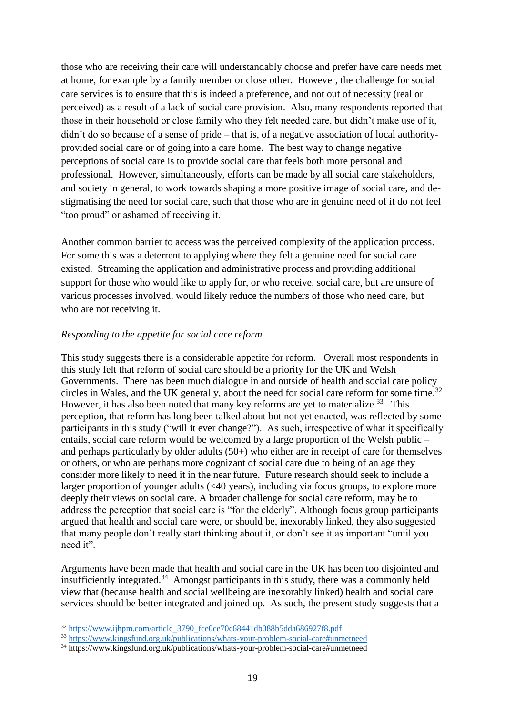those who are receiving their care will understandably choose and prefer have care needs met at home, for example by a family member or close other. However, the challenge for social care services is to ensure that this is indeed a preference, and not out of necessity (real or perceived) as a result of a lack of social care provision. Also, many respondents reported that those in their household or close family who they felt needed care, but didn't make use of it, didn't do so because of a sense of pride – that is, of a negative association of local authorityprovided social care or of going into a care home. The best way to change negative perceptions of social care is to provide social care that feels both more personal and professional. However, simultaneously, efforts can be made by all social care stakeholders, and society in general, to work towards shaping a more positive image of social care, and destigmatising the need for social care, such that those who are in genuine need of it do not feel "too proud" or ashamed of receiving it.

Another common barrier to access was the perceived complexity of the application process. For some this was a deterrent to applying where they felt a genuine need for social care existed. Streaming the application and administrative process and providing additional support for those who would like to apply for, or who receive, social care, but are unsure of various processes involved, would likely reduce the numbers of those who need care, but who are not receiving it.

#### *Responding to the appetite for social care reform*

This study suggests there is a considerable appetite for reform. Overall most respondents in this study felt that reform of social care should be a priority for the UK and Welsh Governments. There has been much dialogue in and outside of health and social care policy circles in Wales, and the UK generally, about the need for social care reform for some time.<sup>32</sup> However, it has also been noted that many key reforms are yet to materialize.<sup>33</sup> This perception, that reform has long been talked about but not yet enacted, was reflected by some participants in this study ("will it ever change?"). As such, irrespective of what it specifically entails, social care reform would be welcomed by a large proportion of the Welsh public – and perhaps particularly by older adults (50+) who either are in receipt of care for themselves or others, or who are perhaps more cognizant of social care due to being of an age they consider more likely to need it in the near future. Future research should seek to include a larger proportion of younger adults (<40 years), including via focus groups, to explore more deeply their views on social care. A broader challenge for social care reform, may be to address the perception that social care is "for the elderly". Although focus group participants argued that health and social care were, or should be, inexorably linked, they also suggested that many people don't really start thinking about it, or don't see it as important "until you need it".

Arguments have been made that health and social care in the UK has been too disjointed and insufficiently integrated.<sup>34</sup> Amongst participants in this study, there was a commonly held view that (because health and social wellbeing are inexorably linked) health and social care services should be better integrated and joined up. As such, the present study suggests that a

 $\overline{a}$ 

<sup>32</sup> [https://www.ijhpm.com/article\\_3790\\_fce0ce70c68441db088b5dda686927f8.pdf](https://www.ijhpm.com/article_3790_fce0ce70c68441db088b5dda686927f8.pdf)

<sup>33</sup> <https://www.kingsfund.org.uk/publications/whats-your-problem-social-care#unmetneed>

<sup>34</sup> https://www.kingsfund.org.uk/publications/whats-your-problem-social-care#unmetneed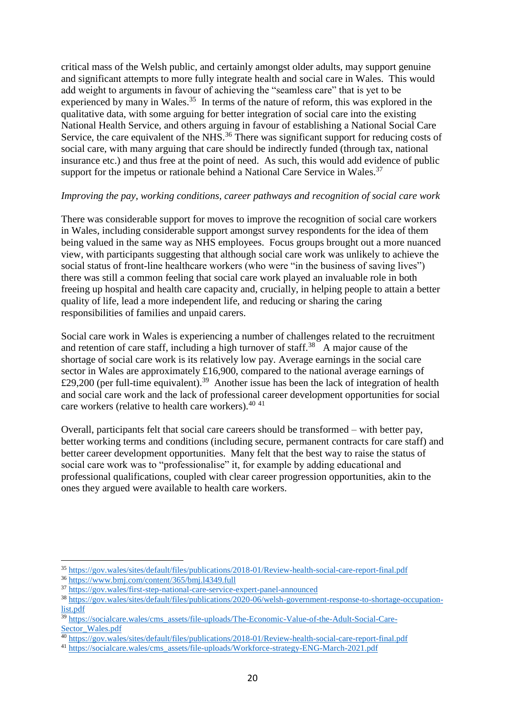critical mass of the Welsh public, and certainly amongst older adults, may support genuine and significant attempts to more fully integrate health and social care in Wales. This would add weight to arguments in favour of achieving the "seamless care" that is yet to be experienced by many in Wales.<sup>35</sup> In terms of the nature of reform, this was explored in the qualitative data, with some arguing for better integration of social care into the existing National Health Service, and others arguing in favour of establishing a National Social Care Service, the care equivalent of the NHS.<sup>36</sup> There was significant support for reducing costs of social care, with many arguing that care should be indirectly funded (through tax, national insurance etc.) and thus free at the point of need. As such, this would add evidence of public support for the impetus or rationale behind a National Care Service in Wales.<sup>37</sup>

### *Improving the pay, working conditions, career pathways and recognition of social care work*

There was considerable support for moves to improve the recognition of social care workers in Wales, including considerable support amongst survey respondents for the idea of them being valued in the same way as NHS employees. Focus groups brought out a more nuanced view, with participants suggesting that although social care work was unlikely to achieve the social status of front-line healthcare workers (who were "in the business of saving lives") there was still a common feeling that social care work played an invaluable role in both freeing up hospital and health care capacity and, crucially, in helping people to attain a better quality of life, lead a more independent life, and reducing or sharing the caring responsibilities of families and unpaid carers.

Social care work in Wales is experiencing a number of challenges related to the recruitment and retention of care staff, including a high turnover of staff.<sup>38</sup> A major cause of the shortage of social care work is its relatively low pay. Average earnings in the social care sector in Wales are approximately £16,900, compared to the national average earnings of £29,200 (per full-time equivalent).<sup>39</sup> Another issue has been the lack of integration of health and social care work and the lack of professional career development opportunities for social care workers (relative to health care workers).<sup>40 41</sup>

Overall, participants felt that social care careers should be transformed – with better pay, better working terms and conditions (including secure, permanent contracts for care staff) and better career development opportunities. Many felt that the best way to raise the status of social care work was to "professionalise" it, for example by adding educational and professional qualifications, coupled with clear career progression opportunities, akin to the ones they argued were available to health care workers.

 $\overline{a}$ 

<sup>35</sup> <https://gov.wales/sites/default/files/publications/2018-01/Review-health-social-care-report-final.pdf>

<sup>36</sup> <https://www.bmj.com/content/365/bmj.l4349.full>

<sup>37</sup> <https://gov.wales/first-step-national-care-service-expert-panel-announced>

<sup>38</sup> [https://gov.wales/sites/default/files/publications/2020-06/welsh-government-response-to-shortage-occupation](https://gov.wales/sites/default/files/publications/2020-06/welsh-government-response-to-shortage-occupation-list.pdf)[list.pdf](https://gov.wales/sites/default/files/publications/2020-06/welsh-government-response-to-shortage-occupation-list.pdf)

<sup>&</sup>lt;sup>39</sup> [https://socialcare.wales/cms\\_assets/file-uploads/The-Economic-Value-of-the-Adult-Social-Care-](https://socialcare.wales/cms_assets/file-uploads/The-Economic-Value-of-the-Adult-Social-Care-Sector_Wales.pdf)[Sector\\_Wales.pdf](https://socialcare.wales/cms_assets/file-uploads/The-Economic-Value-of-the-Adult-Social-Care-Sector_Wales.pdf)

<sup>40</sup> <https://gov.wales/sites/default/files/publications/2018-01/Review-health-social-care-report-final.pdf>

<sup>41</sup> [https://socialcare.wales/cms\\_assets/file-uploads/Workforce-strategy-ENG-March-2021.pdf](https://socialcare.wales/cms_assets/file-uploads/Workforce-strategy-ENG-March-2021.pdf)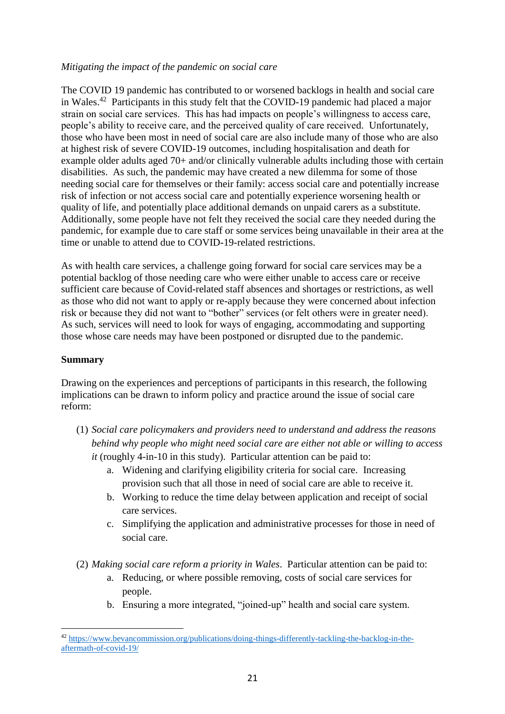## *Mitigating the impact of the pandemic on social care*

The COVID 19 pandemic has contributed to or worsened backlogs in health and social care in Wales.<sup>42</sup> Participants in this study felt that the COVID-19 pandemic had placed a major strain on social care services. This has had impacts on people's willingness to access care, people's ability to receive care, and the perceived quality of care received. Unfortunately, those who have been most in need of social care are also include many of those who are also at highest risk of severe COVID-19 outcomes, including hospitalisation and death for example older adults aged 70+ and/or clinically vulnerable adults including those with certain disabilities. As such, the pandemic may have created a new dilemma for some of those needing social care for themselves or their family: access social care and potentially increase risk of infection or not access social care and potentially experience worsening health or quality of life, and potentially place additional demands on unpaid carers as a substitute. Additionally, some people have not felt they received the social care they needed during the pandemic, for example due to care staff or some services being unavailable in their area at the time or unable to attend due to COVID-19-related restrictions.

As with health care services, a challenge going forward for social care services may be a potential backlog of those needing care who were either unable to access care or receive sufficient care because of Covid-related staff absences and shortages or restrictions, as well as those who did not want to apply or re-apply because they were concerned about infection risk or because they did not want to "bother" services (or felt others were in greater need). As such, services will need to look for ways of engaging, accommodating and supporting those whose care needs may have been postponed or disrupted due to the pandemic.

### **Summary**

Drawing on the experiences and perceptions of participants in this research, the following implications can be drawn to inform policy and practice around the issue of social care reform:

- (1) *Social care policymakers and providers need to understand and address the reasons behind why people who might need social care are either not able or willing to access it* (roughly 4-in-10 in this study). Particular attention can be paid to:
	- a. Widening and clarifying eligibility criteria for social care. Increasing provision such that all those in need of social care are able to receive it.
	- b. Working to reduce the time delay between application and receipt of social care services.
	- c. Simplifying the application and administrative processes for those in need of social care.
- (2) *Making social care reform a priority in Wales*. Particular attention can be paid to:
	- a. Reducing, or where possible removing, costs of social care services for people.
	- b. Ensuring a more integrated, "joined-up" health and social care system.

 $\overline{a}$ <sup>42</sup> [https://www.bevancommission.org/publications/doing-things-differently-tackling-the-backlog-in-the](https://www.bevancommission.org/publications/doing-things-differently-tackling-the-backlog-in-the-aftermath-of-covid-19/)[aftermath-of-covid-19/](https://www.bevancommission.org/publications/doing-things-differently-tackling-the-backlog-in-the-aftermath-of-covid-19/)